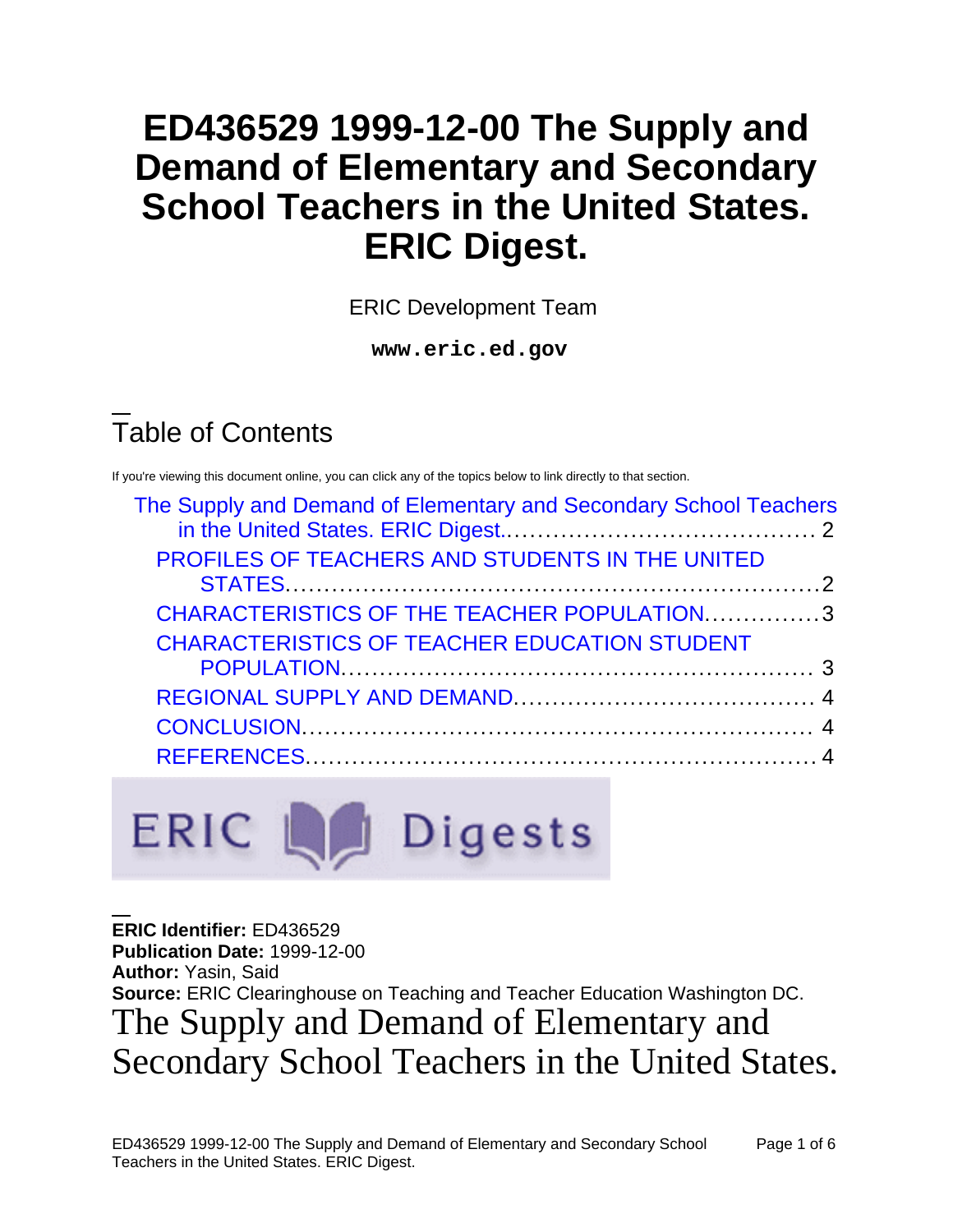# **ED436529 1999-12-00 The Supply and Demand of Elementary and Secondary School Teachers in the United States. ERIC Digest.**

ERIC Development Team

**www.eric.ed.gov**

# Table of Contents

ERIC LA

If you're viewing this document online, you can click any of the topics below to link directly to that section.

| The Supply and Demand of Elementary and Secondary School Teachers |  |
|-------------------------------------------------------------------|--|
|                                                                   |  |
| PROFILES OF TEACHERS AND STUDENTS IN THE UNITED                   |  |
|                                                                   |  |
| CHARACTERISTICS OF THE TEACHER POPULATION3                        |  |
| <b>CHARACTERISTICS OF TEACHER EDUCATION STUDENT</b>               |  |
|                                                                   |  |
|                                                                   |  |
|                                                                   |  |
|                                                                   |  |
|                                                                   |  |

Digests

**ERIC Identifier:** ED436529 **Publication Date:** 1999-12-00 **Author:** Yasin, Said **Source:** ERIC Clearinghouse on Teaching and Teacher Education Washington DC. The Supply and Demand of Elementary and Secondary School Teachers in the United States.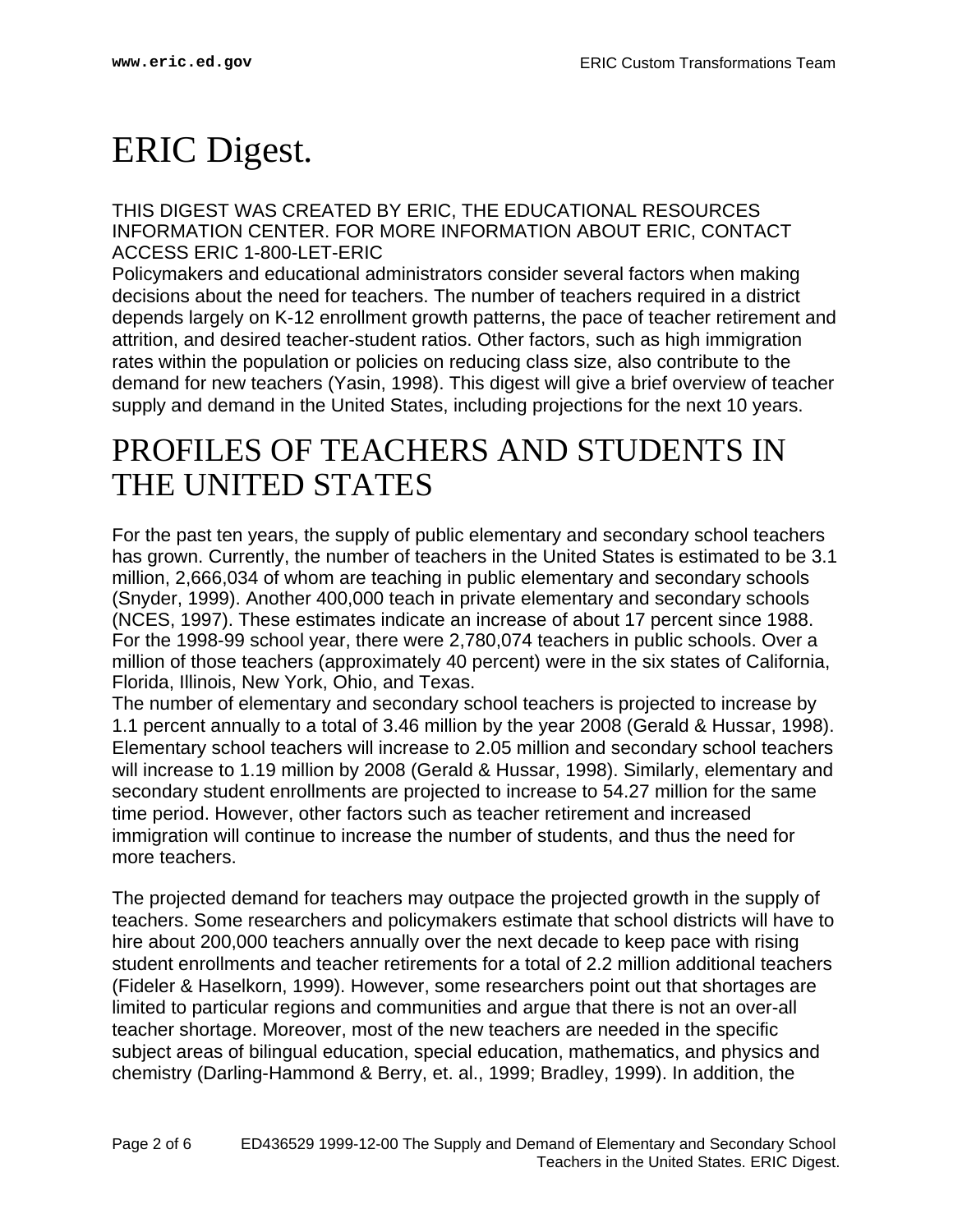# <span id="page-1-0"></span>ERIC Digest.

THIS DIGEST WAS CREATED BY ERIC, THE EDUCATIONAL RESOURCES INFORMATION CENTER. FOR MORE INFORMATION ABOUT ERIC, CONTACT ACCESS ERIC 1-800-LET-ERIC

Policymakers and educational administrators consider several factors when making decisions about the need for teachers. The number of teachers required in a district depends largely on K-12 enrollment growth patterns, the pace of teacher retirement and attrition, and desired teacher-student ratios. Other factors, such as high immigration rates within the population or policies on reducing class size, also contribute to the demand for new teachers (Yasin, 1998). This digest will give a brief overview of teacher supply and demand in the United States, including projections for the next 10 years.

#### <span id="page-1-1"></span>PROFILES OF TEACHERS AND STUDENTS IN THE UNITED STATES

For the past ten years, the supply of public elementary and secondary school teachers has grown. Currently, the number of teachers in the United States is estimated to be 3.1 million, 2,666,034 of whom are teaching in public elementary and secondary schools (Snyder, 1999). Another 400,000 teach in private elementary and secondary schools (NCES, 1997). These estimates indicate an increase of about 17 percent since 1988. For the 1998-99 school year, there were 2,780,074 teachers in public schools. Over a million of those teachers (approximately 40 percent) were in the six states of California, Florida, Illinois, New York, Ohio, and Texas.

The number of elementary and secondary school teachers is projected to increase by 1.1 percent annually to a total of 3.46 million by the year 2008 (Gerald & Hussar, 1998). Elementary school teachers will increase to 2.05 million and secondary school teachers will increase to 1.19 million by 2008 (Gerald & Hussar, 1998). Similarly, elementary and secondary student enrollments are projected to increase to 54.27 million for the same time period. However, other factors such as teacher retirement and increased immigration will continue to increase the number of students, and thus the need for more teachers.

The projected demand for teachers may outpace the projected growth in the supply of teachers. Some researchers and policymakers estimate that school districts will have to hire about 200,000 teachers annually over the next decade to keep pace with rising student enrollments and teacher retirements for a total of 2.2 million additional teachers (Fideler & Haselkorn, 1999). However, some researchers point out that shortages are limited to particular regions and communities and argue that there is not an over-all teacher shortage. Moreover, most of the new teachers are needed in the specific subject areas of bilingual education, special education, mathematics, and physics and chemistry (Darling-Hammond & Berry, et. al., 1999; Bradley, 1999). In addition, the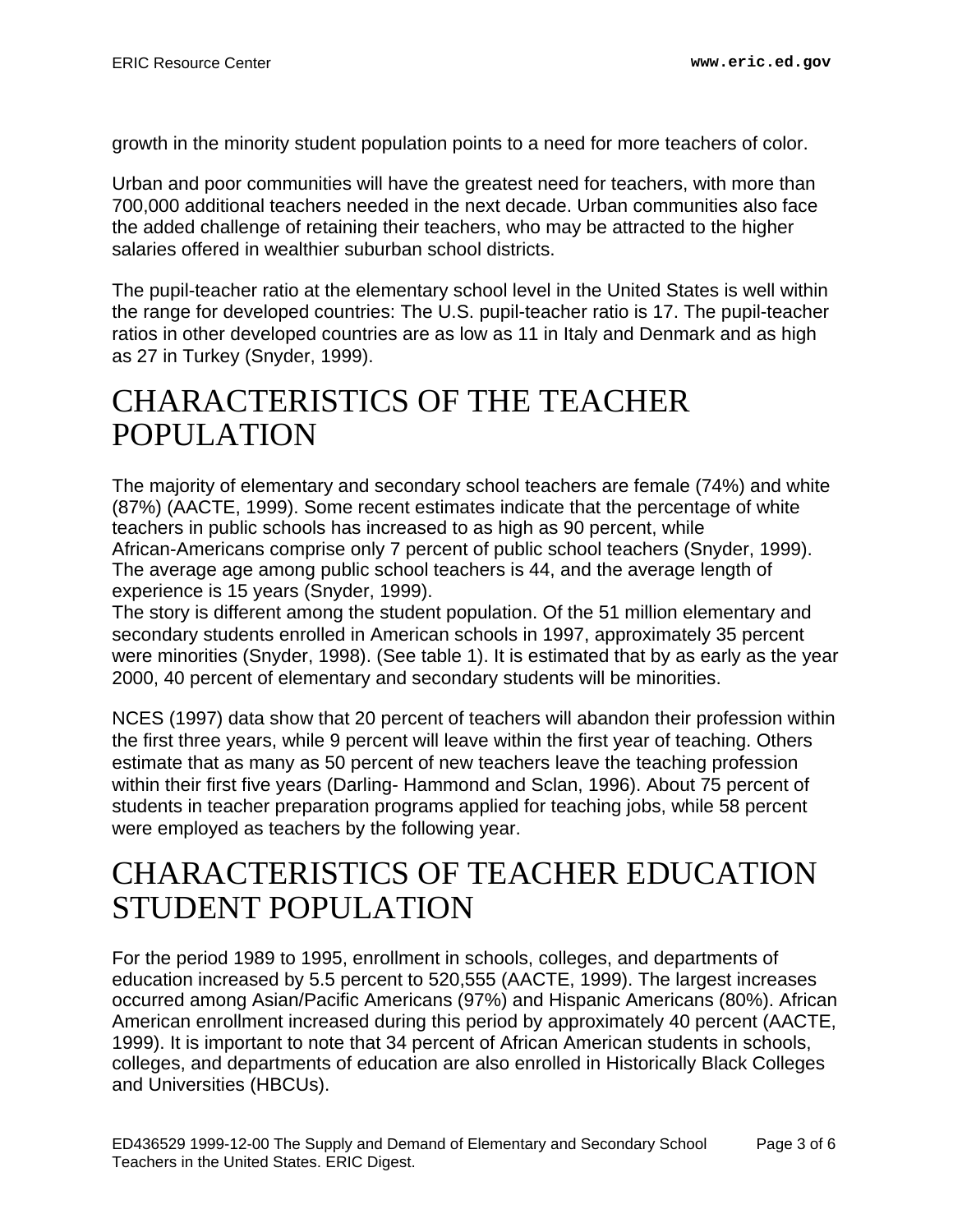growth in the minority student population points to a need for more teachers of color.

Urban and poor communities will have the greatest need for teachers, with more than 700,000 additional teachers needed in the next decade. Urban communities also face the added challenge of retaining their teachers, who may be attracted to the higher salaries offered in wealthier suburban school districts.

The pupil-teacher ratio at the elementary school level in the United States is well within the range for developed countries: The U.S. pupil-teacher ratio is 17. The pupil-teacher ratios in other developed countries are as low as 11 in Italy and Denmark and as high as 27 in Turkey (Snyder, 1999).

#### <span id="page-2-0"></span>CHARACTERISTICS OF THE TEACHER POPULATION

The majority of elementary and secondary school teachers are female (74%) and white (87%) (AACTE, 1999). Some recent estimates indicate that the percentage of white teachers in public schools has increased to as high as 90 percent, while African-Americans comprise only 7 percent of public school teachers (Snyder, 1999). The average age among public school teachers is 44, and the average length of experience is 15 years (Snyder, 1999).

The story is different among the student population. Of the 51 million elementary and secondary students enrolled in American schools in 1997, approximately 35 percent were minorities (Snyder, 1998). (See table 1). It is estimated that by as early as the year 2000, 40 percent of elementary and secondary students will be minorities.

NCES (1997) data show that 20 percent of teachers will abandon their profession within the first three years, while 9 percent will leave within the first year of teaching. Others estimate that as many as 50 percent of new teachers leave the teaching profession within their first five years (Darling- Hammond and Sclan, 1996). About 75 percent of students in teacher preparation programs applied for teaching jobs, while 58 percent were employed as teachers by the following year.

#### <span id="page-2-1"></span>CHARACTERISTICS OF TEACHER EDUCATION STUDENT POPULATION

For the period 1989 to 1995, enrollment in schools, colleges, and departments of education increased by 5.5 percent to 520,555 (AACTE, 1999). The largest increases occurred among Asian/Pacific Americans (97%) and Hispanic Americans (80%). African American enrollment increased during this period by approximately 40 percent (AACTE, 1999). It is important to note that 34 percent of African American students in schools, colleges, and departments of education are also enrolled in Historically Black Colleges and Universities (HBCUs).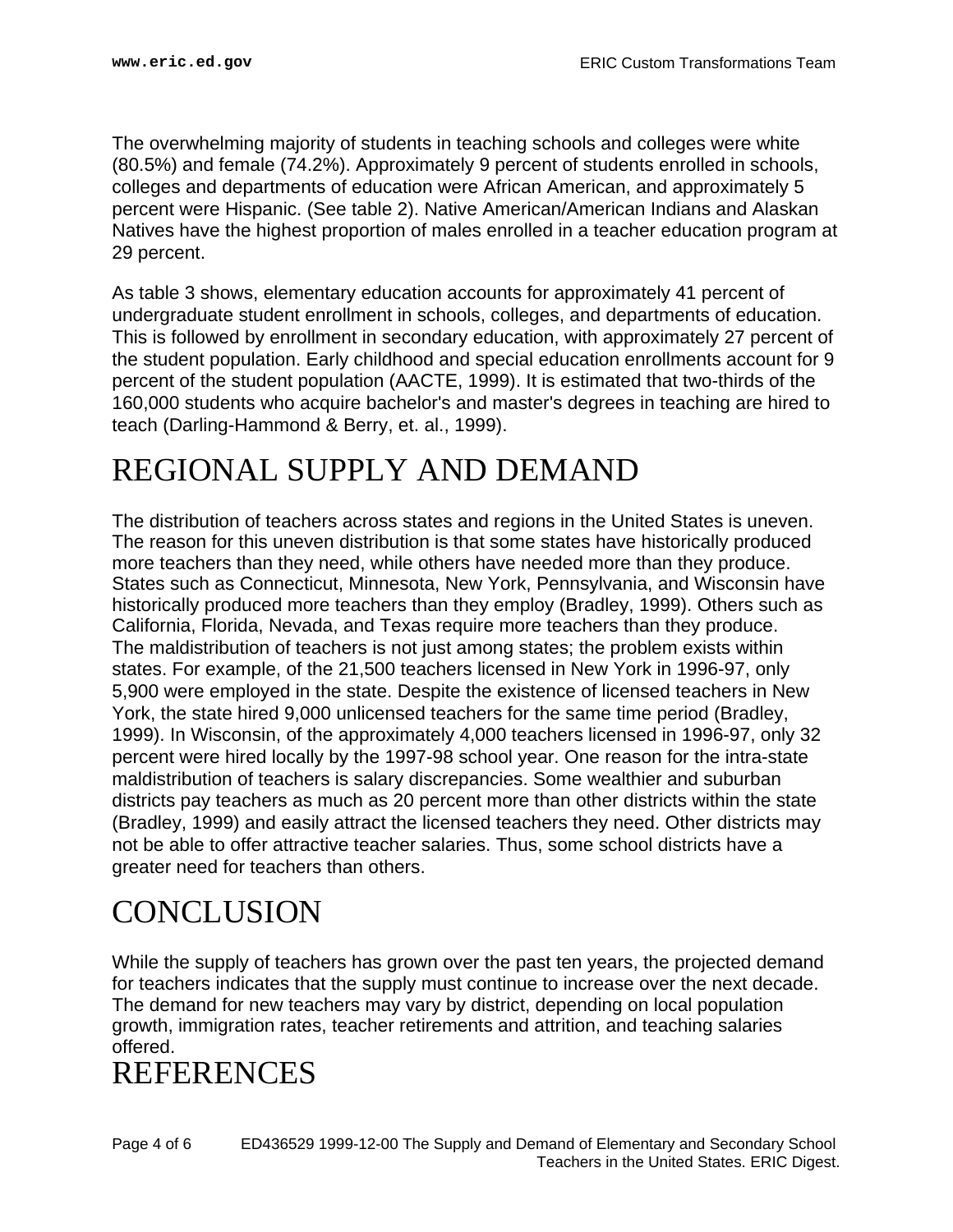The overwhelming majority of students in teaching schools and colleges were white (80.5%) and female (74.2%). Approximately 9 percent of students enrolled in schools, colleges and departments of education were African American, and approximately 5 percent were Hispanic. (See table 2). Native American/American Indians and Alaskan Natives have the highest proportion of males enrolled in a teacher education program at 29 percent.

As table 3 shows, elementary education accounts for approximately 41 percent of undergraduate student enrollment in schools, colleges, and departments of education. This is followed by enrollment in secondary education, with approximately 27 percent of the student population. Early childhood and special education enrollments account for 9 percent of the student population (AACTE, 1999). It is estimated that two-thirds of the 160,000 students who acquire bachelor's and master's degrees in teaching are hired to teach (Darling-Hammond & Berry, et. al., 1999).

### <span id="page-3-0"></span>REGIONAL SUPPLY AND DEMAND

The distribution of teachers across states and regions in the United States is uneven. The reason for this uneven distribution is that some states have historically produced more teachers than they need, while others have needed more than they produce. States such as Connecticut, Minnesota, New York, Pennsylvania, and Wisconsin have historically produced more teachers than they employ (Bradley, 1999). Others such as California, Florida, Nevada, and Texas require more teachers than they produce. The maldistribution of teachers is not just among states; the problem exists within states. For example, of the 21,500 teachers licensed in New York in 1996-97, only 5,900 were employed in the state. Despite the existence of licensed teachers in New York, the state hired 9,000 unlicensed teachers for the same time period (Bradley, 1999). In Wisconsin, of the approximately 4,000 teachers licensed in 1996-97, only 32 percent were hired locally by the 1997-98 school year. One reason for the intra-state maldistribution of teachers is salary discrepancies. Some wealthier and suburban districts pay teachers as much as 20 percent more than other districts within the state (Bradley, 1999) and easily attract the licensed teachers they need. Other districts may not be able to offer attractive teacher salaries. Thus, some school districts have a greater need for teachers than others.

## <span id="page-3-1"></span>**CONCLUSION**

While the supply of teachers has grown over the past ten years, the projected demand for teachers indicates that the supply must continue to increase over the next decade. The demand for new teachers may vary by district, depending on local population growth, immigration rates, teacher retirements and attrition, and teaching salaries offered.

#### <span id="page-3-2"></span>**REFERENCES**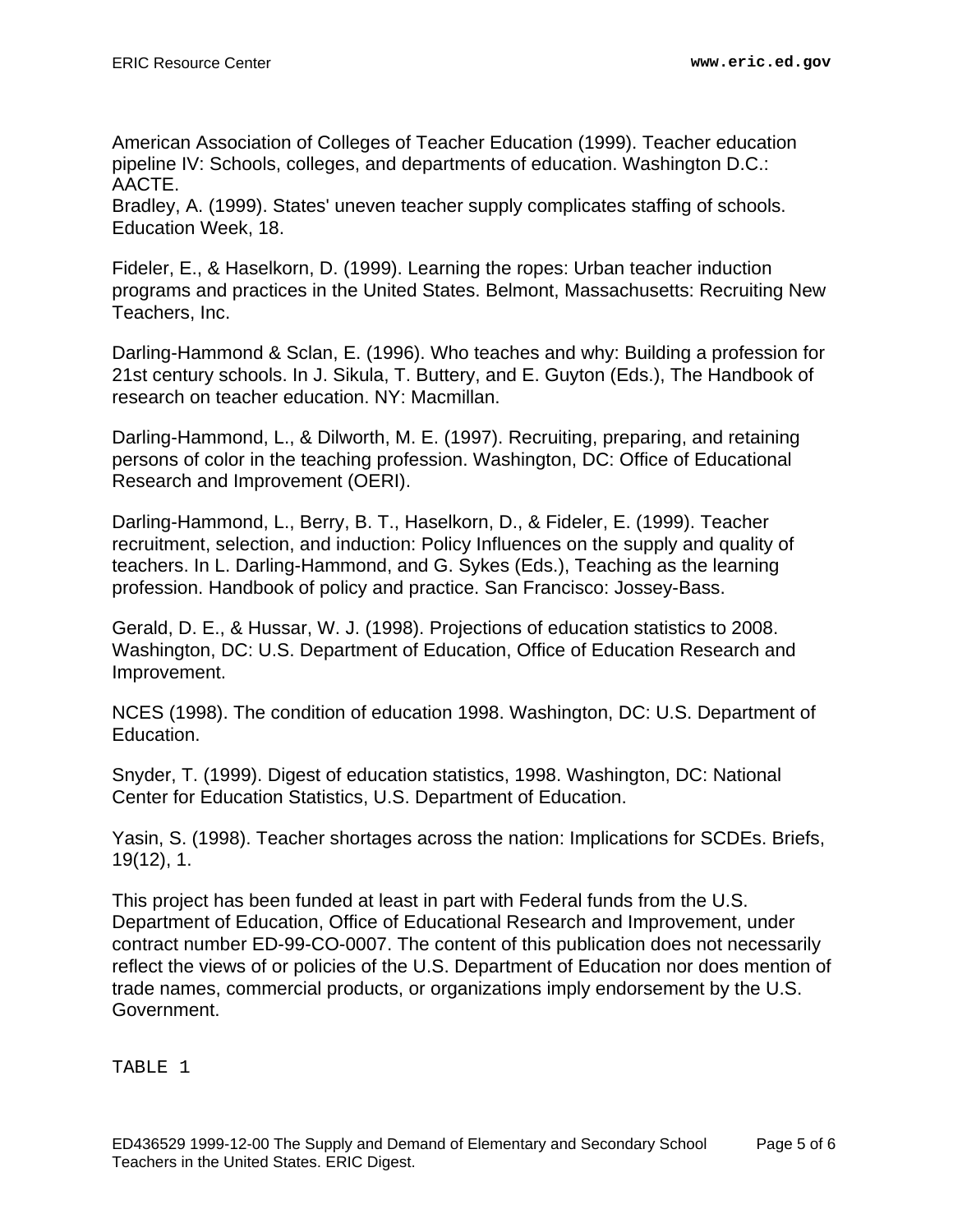American Association of Colleges of Teacher Education (1999). Teacher education pipeline IV: Schools, colleges, and departments of education. Washington D.C.: AACTE.

Bradley, A. (1999). States' uneven teacher supply complicates staffing of schools. Education Week, 18.

Fideler, E., & Haselkorn, D. (1999). Learning the ropes: Urban teacher induction programs and practices in the United States. Belmont, Massachusetts: Recruiting New Teachers, Inc.

Darling-Hammond & Sclan, E. (1996). Who teaches and why: Building a profession for 21st century schools. In J. Sikula, T. Buttery, and E. Guyton (Eds.), The Handbook of research on teacher education. NY: Macmillan.

Darling-Hammond, L., & Dilworth, M. E. (1997). Recruiting, preparing, and retaining persons of color in the teaching profession. Washington, DC: Office of Educational Research and Improvement (OERI).

Darling-Hammond, L., Berry, B. T., Haselkorn, D., & Fideler, E. (1999). Teacher recruitment, selection, and induction: Policy Influences on the supply and quality of teachers. In L. Darling-Hammond, and G. Sykes (Eds.), Teaching as the learning profession. Handbook of policy and practice. San Francisco: Jossey-Bass.

Gerald, D. E., & Hussar, W. J. (1998). Projections of education statistics to 2008. Washington, DC: U.S. Department of Education, Office of Education Research and Improvement.

NCES (1998). The condition of education 1998. Washington, DC: U.S. Department of Education.

Snyder, T. (1999). Digest of education statistics, 1998. Washington, DC: National Center for Education Statistics, U.S. Department of Education.

Yasin, S. (1998). Teacher shortages across the nation: Implications for SCDEs. Briefs, 19(12), 1.

This project has been funded at least in part with Federal funds from the U.S. Department of Education, Office of Educational Research and Improvement, under contract number ED-99-CO-0007. The content of this publication does not necessarily reflect the views of or policies of the U.S. Department of Education nor does mention of trade names, commercial products, or organizations imply endorsement by the U.S. Government.

TABLE 1